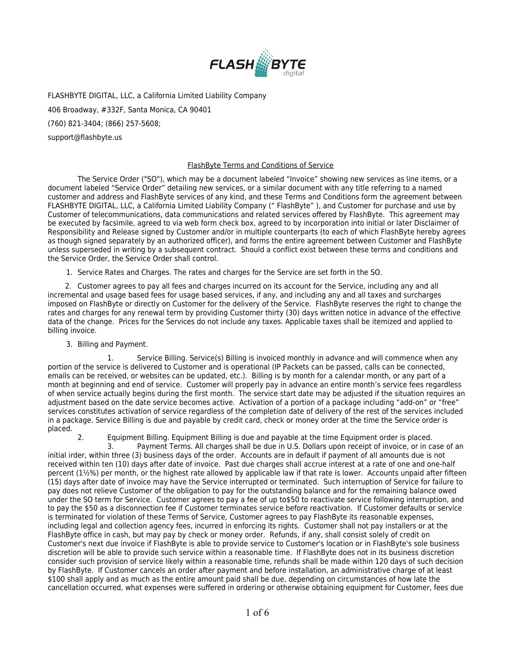

FLASHBYTE DIGITAL, LLC, a California Limited Liability Company 406 Broadway, #332F, Santa Monica, CA 90401 (760) 821-3404; (866) 257-5608;

support@flashbyte.us

## FlashByte Terms and Conditions of Service

The Service Order ("SO"), which may be a document labeled "Invoice" showing new services as line items, or a document labeled "Service Order" detailing new services, or a similar document with any title referring to a named customer and address and FlashByte services of any kind, and these Terms and Conditions form the agreement between FLASHBYTE DIGITAL, LLC, a California Limited Liability Company (" FlashByte" ), and Customer for purchase and use by Customer of telecommunications, data communications and related services offered by FlashByte. This agreement may be executed by facsimile, agreed to via web form check box, agreed to by incorporation into initial or later Disclaimer of Responsibility and Release signed by Customer and/or in multiple counterparts (to each of which FlashByte hereby agrees as though signed separately by an authorized officer), and forms the entire agreement between Customer and FlashByte unless superseded in writing by a subsequent contract. Should a conflict exist between these terms and conditions and the Service Order, the Service Order shall control.

1. Service Rates and Charges. The rates and charges for the Service are set forth in the SO.

 2. Customer agrees to pay all fees and charges incurred on its account for the Service, including any and all incremental and usage based fees for usage based services, if any, and including any and all taxes and surcharges imposed on FlashByte or directly on Customer for the delivery of the Service. FlashByte reserves the right to change the rates and charges for any renewal term by providing Customer thirty (30) days written notice in advance of the effective data of the change. Prices for the Services do not include any taxes. Applicable taxes shall be itemized and applied to billing invoice.

3. Billing and Payment.

 1. Service Billing. Service(s) Billing is invoiced monthly in advance and will commence when any portion of the service is delivered to Customer and is operational (IP Packets can be passed, calls can be connected, emails can be received, or websites can be updated, etc.). Billing is by month for a calendar month, or any part of a month at beginning and end of service. Customer will properly pay in advance an entire month's service fees regardless of when service actually begins during the first month. The service start date may be adjusted if the situation requires an adjustment based on the date service becomes active. Activation of a portion of a package including "add-on" or "free" services constitutes activation of service regardless of the completion date of delivery of the rest of the services included in a package. Service Billing is due and payable by credit card, check or money order at the time the Service order is placed.

2. Equipment Billing. Equipment Billing is due and payable at the time Equipment order is placed.

 3. Payment Terms. All charges shall be due in U.S. Dollars upon receipt of invoice, or in case of an initial irder, within three (3) business days of the order. Accounts are in default if payment of all amounts due is not received within ten (10) days after date of invoice. Past due charges shall accrue interest at a rate of one and one-half percent (1½%) per month, or the highest rate allowed by applicable law if that rate is lower. Accounts unpaid after fifteen (15) days after date of invoice may have the Service interrupted or terminated. Such interruption of Service for failure to pay does not relieve Customer of the obligation to pay for the outstanding balance and for the remaining balance owed under the SO term for Service. Customer agrees to pay a fee of up to\$50 to reactivate service following interruption, and to pay the \$50 as a disconnection fee if Customer terminates service before reactivation. If Customer defaults or service is terminated for violation of these Terms of Service, Customer agrees to pay FlashByte its reasonable expenses, including legal and collection agency fees, incurred in enforcing its rights. Customer shall not pay installers or at the FlashByte office in cash, but may pay by check or money order. Refunds, if any, shall consist solely of credit on Customer's next due invoice if FlashByte is able to provide service to Customer's location or in FlashByte's sole business discretion will be able to provide such service within a reasonable time. If FlashByte does not in its business discretion consider such provision of service likely within a reasonable time, refunds shall be made within 120 days of such decision by FlashByte. If Customer cancels an order after payment and before installation, an administrative charge of at least \$100 shall apply and as much as the entire amount paid shall be due, depending on circumstances of how late the cancellation occurred, what expenses were suffered in ordering or otherwise obtaining equipment for Customer, fees due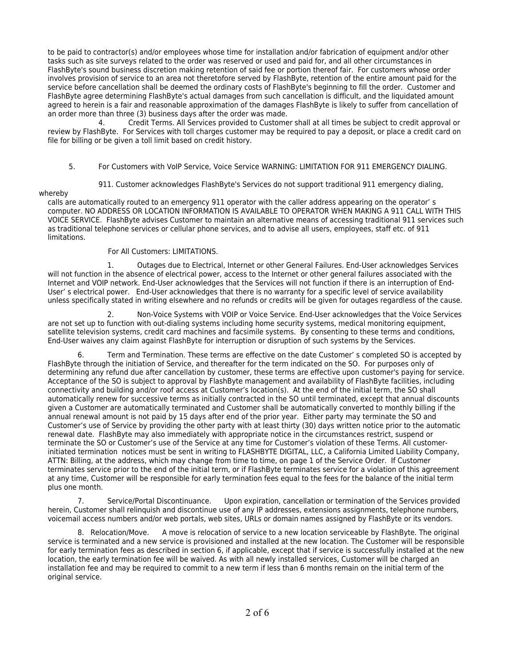to be paid to contractor(s) and/or employees whose time for installation and/or fabrication of equipment and/or other tasks such as site surveys related to the order was reserved or used and paid for, and all other circumstances in FlashByte's sound business discretion making retention of said fee or portion thereof fair. For customers whose order involves provision of service to an area not theretofore served by FlashByte, retention of the entire amount paid for the service before cancellation shall be deemed the ordinary costs of FlashByte's beginning to fill the order. Customer and FlashByte agree determining FlashByte's actual damages from such cancellation is difficult, and the liquidated amount agreed to herein is a fair and reasonable approximation of the damages FlashByte is likely to suffer from cancellation of an order more than three (3) business days after the order was made.

 4. Credit Terms. All Services provided to Customer shall at all times be subject to credit approval or review by FlashByte. For Services with toll charges customer may be required to pay a deposit, or place a credit card on file for billing or be given a toll limit based on credit history.

## 5. For Customers with VoIP Service, Voice Service WARNING: LIMITATION FOR 911 EMERGENCY DIALING.

911. Customer acknowledges FlashByte's Services do not support traditional 911 emergency dialing,

## whereby

calls are automatically routed to an emergency 911 operator with the caller address appearing on the operator' s computer. NO ADDRESS OR LOCATION INFORMATION IS AVAILABLE TO OPERATOR WHEN MAKING A 911 CALL WITH THIS VOICE SERVICE. FlashByte advises Customer to maintain an alternative means of accessing traditional 911 services such as traditional telephone services or cellular phone services, and to advise all users, employees, staff etc. of 911 limitations.

For All Customers: LIMITATIONS.

 1. Outages due to Electrical, Internet or other General Failures. End-User acknowledges Services will not function in the absence of electrical power, access to the Internet or other general failures associated with the Internet and VOIP network. End-User acknowledges that the Services will not function if there is an interruption of End-User' s electrical power. End-User acknowledges that there is no warranty for a specific level of service availability unless specifically stated in writing elsewhere and no refunds or credits will be given for outages regardless of the cause.

 2. Non-Voice Systems with VOIP or Voice Service. End-User acknowledges that the Voice Services are not set up to function with out-dialing systems including home security systems, medical monitoring equipment, satellite television systems, credit card machines and facsimile systems. By consenting to these terms and conditions, End-User waives any claim against FlashByte for interruption or disruption of such systems by the Services.

Term and Termination. These terms are effective on the date Customer' s completed SO is accepted by FlashByte through the initiation of Service, and thereafter for the term indicated on the SO. For purposes only of determining any refund due after cancellation by customer, these terms are effective upon customer's paying for service. Acceptance of the SO is subject to approval by FlashByte management and availability of FlashByte facilities, including connectivity and building and/or roof access at Customer's location(s). At the end of the initial term, the SO shall automatically renew for successive terms as initially contracted in the SO until terminated, except that annual discounts given a Customer are automatically terminated and Customer shall be automatically converted to monthly billing if the annual renewal amount is not paid by 15 days after end of the prior year. Either party may terminate the SO and Customer's use of Service by providing the other party with at least thirty (30) days written notice prior to the automatic renewal date. FlashByte may also immediately with appropriate notice in the circumstances restrict, suspend or terminate the SO or Customer's use of the Service at any time for Customer's violation of these Terms. All customerinitiated termination notices must be sent in writing to FLASHBYTE DIGITAL, LLC, a California Limited Liability Company, ATTN: Billing, at the address, which may change from time to time, on page 1 of the Service Order. If Customer terminates service prior to the end of the initial term, or if FlashByte terminates service for a violation of this agreement at any time, Customer will be responsible for early termination fees equal to the fees for the balance of the initial term plus one month.

7. Service/Portal Discontinuance. Upon expiration, cancellation or termination of the Services provided herein, Customer shall relinquish and discontinue use of any IP addresses, extensions assignments, telephone numbers, voicemail access numbers and/or web portals, web sites, URLs or domain names assigned by FlashByte or its vendors.

8. Relocation/Move. A move is relocation of service to a new location serviceable by FlashByte. The original service is terminated and a new service is provisioned and installed at the new location. The Customer will be responsible for early termination fees as described in section 6, if applicable, except that if service is successfully installed at the new location, the early termination fee will be waived. As with all newly installed services, Customer will be charged an installation fee and may be required to commit to a new term if less than 6 months remain on the initial term of the original service.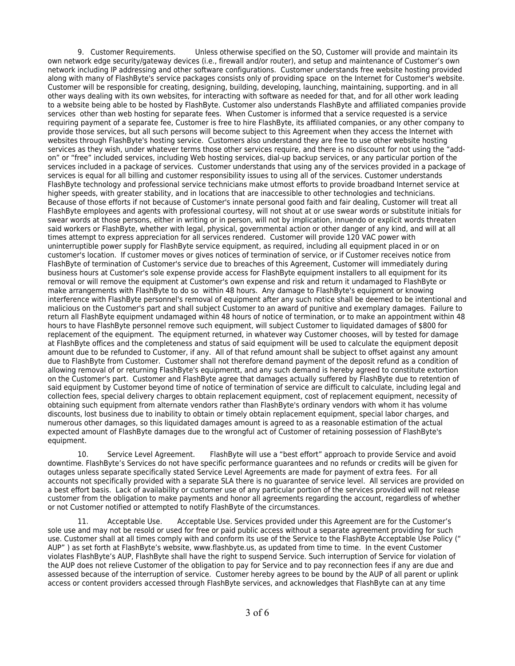9. Customer Requirements. Unless otherwise specified on the SO, Customer will provide and maintain its own network edge security/gateway devices (i.e., firewall and/or router), and setup and maintenance of Customer's own network including IP addressing and other software configurations. Customer understands free website hosting provided along with many of FlashByte's service packages consists only of providing space on the Internet for Customer's website. Customer will be responsible for creating, designing, building, developing, launching, maintaining, supporting. and in all other ways dealing with its own websites, for interacting with software as needed for that, and for all other work leading to a website being able to be hosted by FlashByte. Customer also understands FlashByte and affiliated companies provide services other than web hosting for separate fees. When Customer is informed that a service requested is a service requiring payment of a separate fee, Customer is free to hire FlashByte, its affiliated companies, or any other company to provide those services, but all such persons will become subject to this Agreement when they access the Internet with websites through FlashByte's hosting service. Customers also understand they are free to use other website hosting services as they wish, under whatever terms those other services require, and there is no discount for not using the "addon" or "free" included services, including Web hosting services, dial-up backup services, or any particular portion of the services included in a package of services. Customer understands that using any of the services provided in a package of services is equal for all billing and customer responsibility issues to using all of the services. Customer understands FlashByte technology and professional service technicians make utmost efforts to provide broadband Internet service at higher speeds, with greater stability, and in locations that are inaccessible to other technologies and technicians. Because of those efforts if not because of Customer's innate personal good faith and fair dealing, Customer will treat all FlashByte employees and agents with professional courtesy, will not shout at or use swear words or substitute initials for swear words at those persons, either in writing or in person, will not by implication, innuendo or explicit words threaten said workers or FlashByte, whether with legal, physical, governmental action or other danger of any kind, and will at all times attempt to express appreciation for all services rendered. Customer will provide 120 VAC power with uninterruptible power supply for FlashByte service equipment, as required, including all equipment placed in or on customer's location. If customer moves or gives notices of termination of service, or if Customer receives notice from FlashByte of termination of Customer's service due to breaches of this Agreement, Customer will immediately during business hours at Customer's sole expense provide access for FlashByte equipment installers to all equipment for its removal or will remove the equipment at Customer's own expense and risk and return it undamaged to FlashByte or make arrangements with FlashByte to do so within 48 hours. Any damage to FlashByte's equipment or knowing interference with FlashByte personnel's removal of equipment after any such notice shall be deemed to be intentional and malicious on the Customer's part and shall subject Customer to an award of punitive and exemplary damages. Failure to return all FlashByte equipment undamaged within 48 hours of notice of termination, or to make an appointment within 48 hours to have FlashByte personnel remove such equipment, will subject Customer to liquidated damages of \$800 for replacement of the equipment. The equipment returned, in whatever way Customer chooses, will by tested for damage at FlashByte offices and the completeness and status of said equipment will be used to calculate the equipment deposit amount due to be refunded to Customer, if any. All of that refund amount shall be subject to offset against any amount due to FlashByte from Customer. Customer shall not therefore demand payment of the deposit refund as a condition of allowing removal of or returning FlashByte's equipmentt, and any such demand is hereby agreed to constitute extortion on the Customer's part. Customer and FlashByte agree that damages actually suffered by FlashByte due to retention of said equipment by Customer beyond time of notice of termination of service are difficult to calculate, including legal and collection fees, special delivery charges to obtain replacement equipment, cost of replacement equipment, necessity of obtaining such equipment from alternate vendors rather than FlashByte's ordinary vendors with whom it has volume discounts, lost business due to inability to obtain or timely obtain replacement equipment, special labor charges, and numerous other damages, so this liquidated damages amount is agreed to as a reasonable estimation of the actual expected amount of FlashByte damages due to the wrongful act of Customer of retaining possession of FlashByte's equipment.

10. Service Level Agreement. FlashByte will use a "best effort" approach to provide Service and avoid downtime. FlashByte's Services do not have specific performance guarantees and no refunds or credits will be given for outages unless separate specifically stated Service Level Agreements are made for payment of extra fees. For all accounts not specifically provided with a separate SLA there is no guarantee of service level. All services are provided on a best effort basis. Lack of availability or customer use of any particular portion of the services provided will not release customer from the obligation to make payments and honor all agreements regarding the account, regardless of whether or not Customer notified or attempted to notify FlashByte of the circumstances.

11. Acceptable Use. Acceptable Use. Services provided under this Agreement are for the Customer's sole use and may not be resold or used for free or paid public access without a separate agreement providing for such use. Customer shall at all times comply with and conform its use of the Service to the FlashByte Acceptable Use Policy (" AUP" ) as set forth at FlashByte's website, www.flashbyte.us, as updated from time to time. In the event Customer violates FlashByte's AUP, FlashByte shall have the right to suspend Service. Such interruption of Service for violation of the AUP does not relieve Customer of the obligation to pay for Service and to pay reconnection fees if any are due and assessed because of the interruption of service. Customer hereby agrees to be bound by the AUP of all parent or uplink access or content providers accessed through FlashByte services, and acknowledges that FlashByte can at any time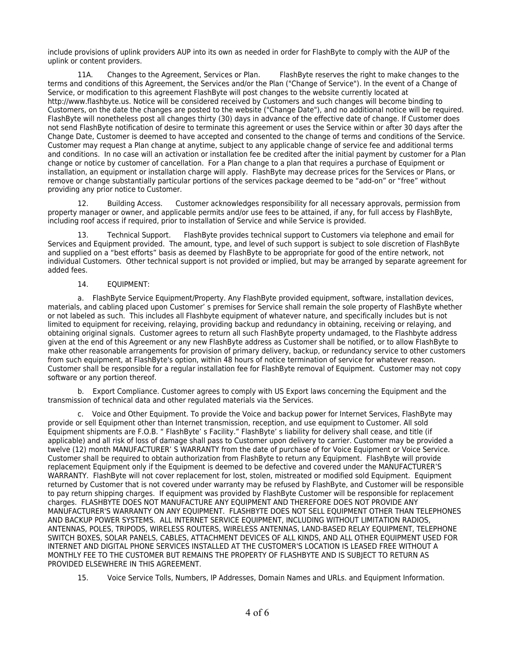include provisions of uplink providers AUP into its own as needed in order for FlashByte to comply with the AUP of the uplink or content providers.

11A. Changes to the Agreement, Services or Plan. FlashByte reserves the right to make changes to the terms and conditions of this Agreement, the Services and/or the Plan ("Change of Service"). In the event of a Change of Service, or modification to this agreement FlashByte will post changes to the website currently located at http://www.flashbyte.us. Notice will be considered received by Customers and such changes will become binding to Customers, on the date the changes are posted to the website ("Change Date"), and no additional notice will be required. FlashByte will nonetheless post all changes thirty (30) days in advance of the effective date of change. If Customer does not send FlashByte notification of desire to terminate this agreement or uses the Service within or after 30 days after the Change Date, Customer is deemed to have accepted and consented to the change of terms and conditions of the Service. Customer may request a Plan change at anytime, subject to any applicable change of service fee and additional terms and conditions. In no case will an activation or installation fee be credited after the initial payment by customer for a Plan change or notice by customer of cancellation. For a Plan change to a plan that requires a purchase of Equipment or installation, an equipment or installation charge will apply. FlashByte may decrease prices for the Services or Plans, or remove or change substantially particular portions of the services package deemed to be "add-on" or "free" without providing any prior notice to Customer.

12. Building Access. Customer acknowledges responsibility for all necessary approvals, permission from property manager or owner, and applicable permits and/or use fees to be attained, if any, for full access by FlashByte, including roof access if required, prior to installation of Service and while Service is provided.

13. Technical Support. FlashByte provides technical support to Customers via telephone and email for Services and Equipment provided. The amount, type, and level of such support is subject to sole discretion of FlashByte and supplied on a "best efforts" basis as deemed by FlashByte to be appropriate for good of the entire network, not individual Customers. Other technical support is not provided or implied, but may be arranged by separate agreement for added fees.

## 14. EQUIPMENT:

a. FlashByte Service Equipment/Property. Any FlashByte provided equipment, software, installation devices, materials, and cabling placed upon Customer' s premises for Service shall remain the sole property of FlashByte whether or not labeled as such. This includes all Flashbyte equipment of whatever nature, and specifically includes but is not limited to equipment for receiving, relaying, providing backup and redundancy in obtaining, receiving or relaying, and obtaining original signals. Customer agrees to return all such FlashByte property undamaged, to the Flashbyte address given at the end of this Agreement or any new FlashByte address as Customer shall be notified, or to allow FlashByte to make other reasonable arrangements for provision of primary delivery, backup, or redundancy service to other customers from such equipment, at FlashByte's option, within 48 hours of notice termination of service for whatever reason. Customer shall be responsible for a regular installation fee for FlashByte removal of Equipment. Customer may not copy software or any portion thereof.

b. Export Compliance. Customer agrees to comply with US Export laws concerning the Equipment and the transmission of technical data and other regulated materials via the Services.

 c. Voice and Other Equipment. To provide the Voice and backup power for Internet Services, FlashByte may provide or sell Equipment other than Internet transmission, reception, and use equipment to Customer. All sold Equipment shipments are F.O.B. " FlashByte' s Facility." FlashByte' s liability for delivery shall cease, and title (if applicable) and all risk of loss of damage shall pass to Customer upon delivery to carrier. Customer may be provided a twelve (12) month MANUFACTURER' S WARRANTY from the date of purchase of for Voice Equipment or Voice Service. Customer shall be required to obtain authorization from FlashByte to return any Equipment. FlashByte will provide replacement Equipment only if the Equipment is deemed to be defective and covered under the MANUFACTURER'S WARRANTY. FlashByte will not cover replacement for lost, stolen, mistreated or modified sold Equipment. Equipment returned by Customer that is not covered under warranty may be refused by FlashByte, and Customer will be responsible to pay return shipping charges. If equipment was provided by FlashByte Customer will be responsible for replacement charges. FLASHBYTE DOES NOT MANUFACTURE ANY EQUIPMENT AND THEREFORE DOES NOT PROVIDE ANY MANUFACTURER'S WARRANTY ON ANY EQUIPMENT. FLASHBYTE DOES NOT SELL EQUIPMENT OTHER THAN TELEPHONES AND BACKUP POWER SYSTEMS. ALL INTERNET SERVICE EQUIPMENT, INCLUDING WITHOUT LIMITATION RADIOS, ANTENNAS, POLES, TRIPODS, WIRELESS ROUTERS, WIRELESS ANTENNAS, LAND-BASED RELAY EQUIPMENT, TELEPHONE SWITCH BOXES, SOLAR PANELS, CABLES, ATTACHMENT DEVICES OF ALL KINDS, AND ALL OTHER EQUIPMENT USED FOR INTERNET AND DIGITAL PHONE SERVICES INSTALLED AT THE CUSTOMER'S LOCATION IS LEASED FREE WITHOUT A MONTHLY FEE TO THE CUSTOMER BUT REMAINS THE PROPERTY OF FLASHBYTE AND IS SUBJECT TO RETURN AS PROVIDED ELSEWHERE IN THIS AGREEMENT.

15. Voice Service Tolls, Numbers, IP Addresses, Domain Names and URLs. and Equipment Information.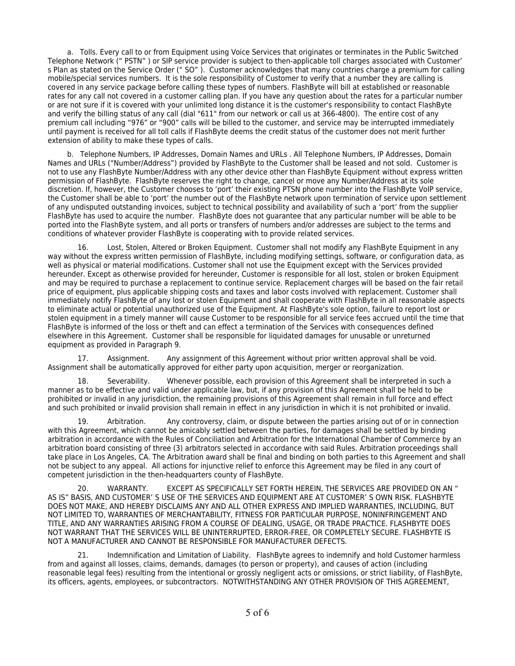a. Tolls. Every call to or from Equipment using Voice Services that originates or terminates in the Public Switched Telephone Network (" PSTN" ) or SIP service provider is subject to then-applicable toll charges associated with Customer' s Plan as stated on the Service Order (" SO" ). Customer acknowledges that many countries charge a premium for calling mobile/special services numbers. It is the sole responsibility of Customer to verify that a number they are calling is covered in any service package before calling these types of numbers. FlashByte will bill at established or reasonable rates for any call not covered in a customer calling plan. If you have any question about the rates for a particular number or are not sure if it is covered with your unlimited long distance it is the customer's responsibility to contact FlashByte and verify the billing status of any call (dial "611" from our network or call us at 366-4800). The entire cost of any premium call including "976" or "900" calls will be billed to the customer, and service may be interrupted immediately until payment is received for all toll calls if FlashByte deems the credit status of the customer does not merit further extension of ability to make these types of calls.

 b. Telephone Numbers, IP Addresses, Domain Names and URLs . All Telephone Numbers, IP Addresses, Domain Names and URLs ("Number/Address") provided by FlashByte to the Customer shall be leased and not sold. Customer is not to use any FlashByte Number/Address with any other device other than FlashByte Equipment without express written permission of FlashByte. FlashByte reserves the right to change, cancel or move any Number/Address at its sole discretion. If, however, the Customer chooses to 'port' their existing PTSN phone number into the FlashByte VoIP service, the Customer shall be able to 'port' the number out of the FlashByte network upon termination of service upon settlement of any undisputed outstanding invoices, subject to technical possibility and availability of such a 'port' from the supplier FlashByte has used to acquire the number. FlashByte does not guarantee that any particular number will be able to be ported into the FlashByte system, and all ports or transfers of numbers and/or addresses are subject to the terms and conditions of whatever provider FlashByte is cooperating with to provide related services.

Lost, Stolen, Altered or Broken Equipment. Customer shall not modify any FlashByte Equipment in any way without the express written permission of FlashByte, including modifying settings, software, or configuration data, as well as physical or material modifications. Customer shall not use the Equipment except with the Services provided hereunder. Except as otherwise provided for hereunder, Customer is responsible for all lost, stolen or broken Equipment and may be required to purchase a replacement to continue service. Replacement charges will be based on the fair retail price of equipment, plus applicable shipping costs and taxes and labor costs involved with replacement. Customer shall immediately notify FlashByte of any lost or stolen Equipment and shall cooperate with FlashByte in all reasonable aspects to eliminate actual or potential unauthorized use of the Equipment. At FlashByte's sole option, failure to report lost or stolen equipment in a timely manner will cause Customer to be responsible for all service fees accrued until the time that FlashByte is informed of the loss or theft and can effect a termination of the Services with consequences defined elsewhere in this Agreement. Customer shall be responsible for liquidated damages for unusable or unreturned equipment as provided in Paragraph 9.

17. Assignment. Any assignment of this Agreement without prior written approval shall be void. Assignment shall be automatically approved for either party upon acquisition, merger or reorganization.

18. Severability. Whenever possible, each provision of this Agreement shall be interpreted in such a manner as to be effective and valid under applicable law, but, if any provision of this Agreement shall be held to be prohibited or invalid in any jurisdiction, the remaining provisions of this Agreement shall remain in full force and effect and such prohibited or invalid provision shall remain in effect in any jurisdiction in which it is not prohibited or invalid.

Arbitration. Any controversy, claim, or dispute between the parties arising out of or in connection with this Agreement, which cannot be amicably settled between the parties, for damages shall be settled by binding arbitration in accordance with the Rules of Conciliation and Arbitration for the International Chamber of Commerce by an arbitration board consisting of three (3) arbitrators selected in accordance with said Rules. Arbitration proceedings shall take place in Los Angeles, CA. The Arbitration award shall be final and binding on both parties to this Agreement and shall not be subject to any appeal. All actions for injunctive relief to enforce this Agreement may be filed in any court of competent jurisdiction in the then-headquarters county of FlashByte.

20. WARRANTY. EXCEPT AS SPECIFICALLY SET FORTH HEREIN, THE SERVICES ARE PROVIDED ON AN " AS IS" BASIS, AND CUSTOMER' S USE OF THE SERVICES AND EQUIPMENT ARE AT CUSTOMER' S OWN RISK. FLASHBYTE DOES NOT MAKE, AND HEREBY DISCLAIMS ANY AND ALL OTHER EXPRESS AND IMPLIED WARRANTIES, INCLUDING, BUT NOT LIMITED TO, WARRANTIES OF MERCHANTABILITY, FITNESS FOR PARTICULAR PURPOSE, NONINFRINGEMENT AND TITLE, AND ANY WARRANTIES ARISING FROM A COURSE OF DEALING, USAGE, OR TRADE PRACTICE. FLASHBYTE DOES NOT WARRANT THAT THE SERVICES WILL BE UNINTERRUPTED, ERROR-FREE, OR COMPLETELY SECURE. FLASHBYTE IS NOT A MANUFACTURER AND CANNOT BE RESPONSIBLE FOR MANUFACTURER DEFECTS.

21. Indemnification and Limitation of Liability. FlashByte agrees to indemnify and hold Customer harmless from and against all losses, claims, demands, damages (to person or property), and causes of action (including reasonable legal fees) resulting from the intentional or grossly negligent acts or omissions, or strict liability, of FlashByte, its officers, agents, employees, or subcontractors. NOTWITHSTANDING ANY OTHER PROVISION OF THIS AGREEMENT,